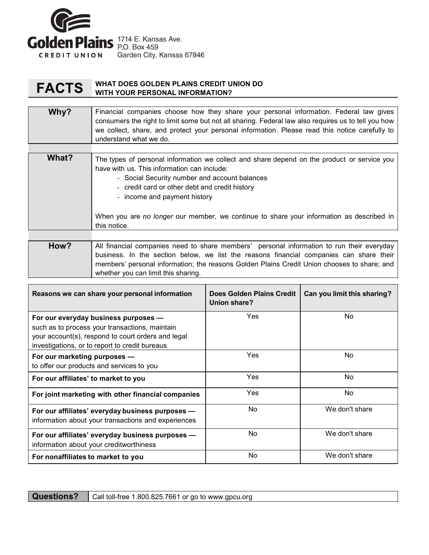

## **FACTS** WHAT DOES GOLDEN PLAINS CREDIT UNION DO WITH YOUR PERSONAL INFORMATION?

## Why? Financial companies choose how they share your personal information. Federal law gives consumers the right to limit some but not all sharing. Federal law also requires us to tell you how we collect, share, and protect your personal information. Please read this notice carefully to understand what we do.

| What? | The types of personal information we collect and share depend on the product or service you<br>have with us. This information can include:<br>- Social Security number and account balances<br>- credit card or other debt and credit history<br>- income and payment history |
|-------|-------------------------------------------------------------------------------------------------------------------------------------------------------------------------------------------------------------------------------------------------------------------------------|
|       | When you are no longer our member, we continue to share your information as described in<br>this notice.                                                                                                                                                                      |
|       |                                                                                                                                                                                                                                                                               |
|       |                                                                                                                                                                                                                                                                               |

| How? | All financial companies need to share members' personal information to run their everyday l |  |  |  |
|------|---------------------------------------------------------------------------------------------|--|--|--|
|      | business. In the section below, we list the reasons financial companies can share their     |  |  |  |
|      | members' personal information; the reasons Golden Plains Credit Union chooses to share; and |  |  |  |
|      | whether you can limit this sharing.                                                         |  |  |  |

| Reasons we can share your personal information                                                                                                                                                 | Does Golden Plains Credit<br>Union share? | Can you limit this sharing? |
|------------------------------------------------------------------------------------------------------------------------------------------------------------------------------------------------|-------------------------------------------|-----------------------------|
| For our everyday business purposes -<br>such as to process your transactions, maintain<br>your account(s), respond to court orders and legal<br>investigations, or to report to credit bureaus | Yes                                       | No.                         |
| For our marketing purposes -<br>to offer our products and services to you                                                                                                                      | Yes                                       | <b>No</b>                   |
| For our affiliates' to market to you                                                                                                                                                           | Yes                                       | No.                         |
| For joint marketing with other financial companies                                                                                                                                             | Yes                                       | <b>No</b>                   |
| For our affiliates' everyday business purposes -<br>information about your transactions and experiences                                                                                        | No                                        | We don't share              |
| For our affiliates' everyday business purposes -<br>information about your creditworthiness                                                                                                    | <b>No</b>                                 | We don't share              |
| For nonaffiliates to market to you                                                                                                                                                             | No                                        | We don't share              |

Questions? | Call toll-free 1.800.825.7661 or go to www.gpcu.org